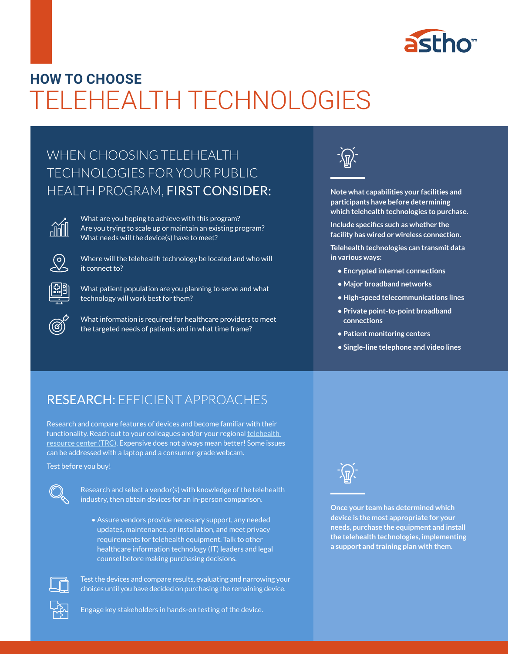

# TELEHEALTH TECHNOLOGIES **HOW TO CHOOSE**

# WHEN CHOOSING TELEHEALTH TECHNOLOGIES FOR YOUR PUBLIC HEALTH PROGRAM, FIRST CONSIDER:



What are you hoping to achieve with this program? Are you trying to scale up or maintain an existing program? What needs will the device(s) have to meet?



Where will the telehealth technology be located and who will it connect to?



What patient population are you planning to serve and what technology will work best for them?

What information is required for healthcare providers to meet the targeted needs of patients and in what time frame?



**Note what capabilities your facilities and participants have before determining which telehealth technologies to purchase.** 

**Include specifics such as whether the facility has wired or wireless connection.** 

**Telehealth technologies can transmit data in various ways:**

- **Encrypted internet connections**
- **Major broadband networks**
- **High-speed telecommunications lines**
- **Private point-to-point broadband connections**
- **Patient monitoring centers**
- **Single-line telephone and video lines**

# RESEARCH: EFFICIENT APPROACHES

Research and compare features of devices and become familiar with their functionality. Reach out to your colleagues and/or your regional telehealth resource center (TRC). Expensive does not always mean better! Some issues can be addressed with a laptop and a consumer-grade webcam.

Test before you buy!



Research and select a vendor(s) with knowledge of the telehealth industry, then obtain devices for an in-person comparison.

• Assure vendors provide necessary support, any needed updates, maintenance, or installation, and meet privacy requirements for telehealth equipment. Talk to other healthcare information technology (IT) leaders and legal counsel before making purchasing decisions.



Test the devices and compare results, evaluating and narrowing your choices until you have decided on purchasing the remaining device.



**Once your team has determined which device is the most appropriate for your needs, purchase the equipment and install the telehealth technologies, implementing a support and training plan with them.**

Engage key stakeholders in hands-on testing of the device.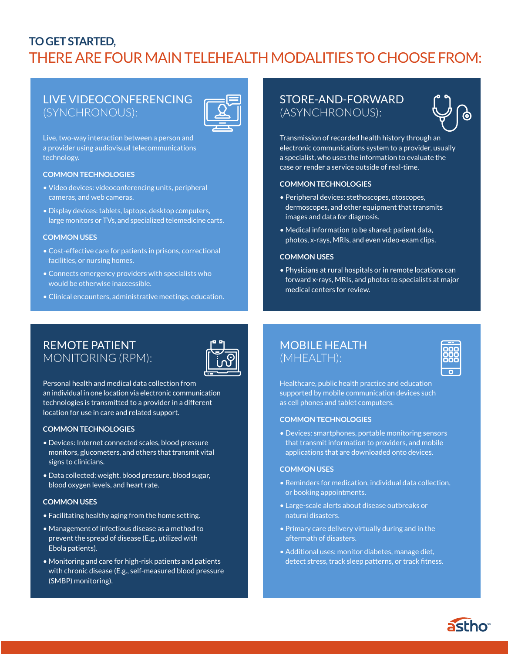# **TO GET STARTED,**  THERE ARE FOUR MAIN TELEHEALTH MODALITIES TO CHOOSE FROM:

# LIVE VIDEOCONFERENCING (SYNCHRONOUS):



Live, two-way interaction between a person and a provider using audiovisual telecommunications technology.

### **COMMON TECHNOLOGIES**

- Video devices: videoconferencing units, peripheral cameras, and web cameras.
- Display devices: tablets, laptops, desktop computers, large monitors or TVs, and specialized telemedicine carts.

#### **COMMON USES**

- Cost-effective care for patients in prisons, correctional facilities, or nursing homes.
- Connects emergency providers with specialists who would be otherwise inaccessible.
- Clinical encounters, administrative meetings, education.

# REMOTE PATIENT MONITORING (RPM):



Personal health and medical data collection from an individual in one location via electronic communication technologies is transmitted to a provider in a different location for use in care and related support.

#### **COMMON TECHNOLOGIES**

- Devices: Internet connected scales, blood pressure monitors, glucometers, and others that transmit vital signs to clinicians.
- Data collected: weight, blood pressure, blood sugar, blood oxygen levels, and heart rate.

#### **COMMON USES**

- Facilitating healthy aging from the home setting.
- Management of infectious disease as a method to prevent the spread of disease (E.g., utilized with Ebola patients).
- Monitoring and care for high-risk patients and patients with chronic disease (E.g., self-measured blood pressure (SMBP) monitoring).

# STORE-AND-FORWARD (ASYNCHRONOUS):



Transmission of recorded health history through an electronic communications system to a provider, usually a specialist, who uses the information to evaluate the case or render a service outside of real-time.

#### **COMMON TECHNOLOGIES**

- Peripheral devices: stethoscopes, otoscopes, dermoscopes, and other equipment that transmits images and data for diagnosis.
- Medical information to be shared: patient data, photos, x-rays, MRIs, and even video-exam clips.

#### **COMMON USES**

• Physicians at rural hospitals or in remote locations can forward x-rays, MRIs, and photos to specialists at major medical centers for review.

# MOBILE HEALTH (MHEALTH):



Healthcare, public health practice and education supported by mobile communication devices such as cell phones and tablet computers.

#### **COMMON TECHNOLOGIES**

• Devices: smartphones, portable monitoring sensors that transmit information to providers, and mobile applications that are downloaded onto devices.

#### **COMMON USES**

- Reminders for medication, individual data collection, or booking appointments.
- Large-scale alerts about disease outbreaks or natural disasters.
- Primary care delivery virtually during and in the aftermath of disasters.
- Additional uses: monitor diabetes, manage diet, detect stress, track sleep patterns, or track fitness.